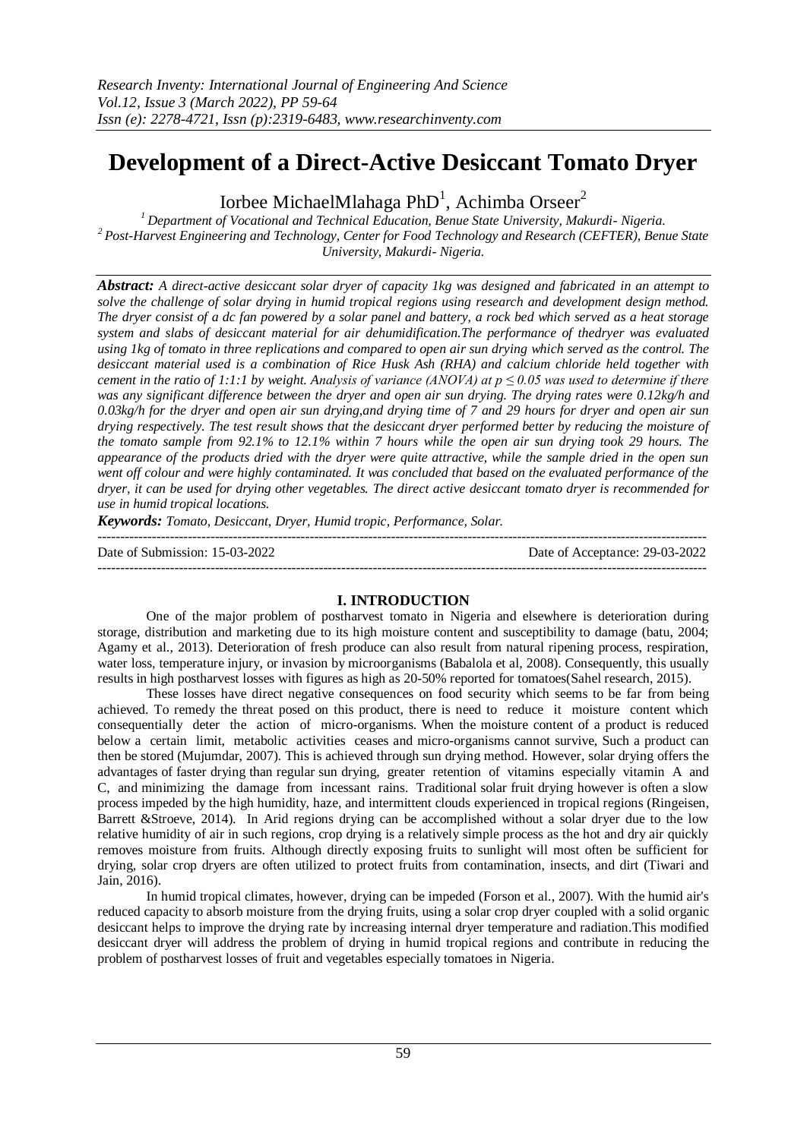# **Development of a Direct-Active Desiccant Tomato Dryer**

Iorbee MichaelMlahaga Ph $D^1$ , Achimba Orseer<sup>2</sup>

*<sup>1</sup>Department of Vocational and Technical Education, Benue State University, Makurdi- Nigeria. <sup>2</sup>Post-Harvest Engineering and Technology, Center for Food Technology and Research (CEFTER), Benue State University, Makurdi- Nigeria.*

*Abstract: A direct-active desiccant solar dryer of capacity 1kg was designed and fabricated in an attempt to solve the challenge of solar drying in humid tropical regions using research and development design method. The dryer consist of a dc fan powered by a solar panel and battery, a rock bed which served as a heat storage system and slabs of desiccant material for air dehumidification.The performance of thedryer was evaluated using 1kg of tomato in three replications and compared to open air sun drying which served as the control. The desiccant material used is a combination of Rice Husk Ash (RHA) and calcium chloride held together with cement in the ratio of 1:1:1 by weight. Analysis of variance (ANOVA) at p ≤ 0.05 was used to determine if there was any significant difference between the dryer and open air sun drying. The drying rates were 0.12kg/h and 0.03kg/h for the dryer and open air sun drying,and drying time of 7 and 29 hours for dryer and open air sun drying respectively. The test result shows that the desiccant dryer performed better by reducing the moisture of the tomato sample from 92.1% to 12.1% within 7 hours while the open air sun drying took 29 hours. The appearance of the products dried with the dryer were quite attractive, while the sample dried in the open sun went off colour and were highly contaminated. It was concluded that based on the evaluated performance of the dryer, it can be used for drying other vegetables. The direct active desiccant tomato dryer is recommended for use in humid tropical locations.*

*Keywords: Tomato, Desiccant, Dryer, Humid tropic, Performance, Solar.*

| Date of Submission: 15-03-2022 | Date of Acceptance: 29-03-2022 |
|--------------------------------|--------------------------------|
|                                |                                |

# **I. INTRODUCTION**

One of the major problem of postharvest tomato in Nigeria and elsewhere is deterioration during storage, distribution and marketing due to its high moisture content and susceptibility to damage (batu, 2004; Agamy et al., 2013). Deterioration of fresh produce can also result from natural ripening process, respiration, water loss, temperature injury, or invasion by microorganisms (Babalola et al, 2008). Consequently, this usually results in high postharvest losses with figures as high as 20-50% reported for tomatoes(Sahel research, 2015).

These losses have direct negative consequences on food security which seems to be far from being achieved. To remedy the threat posed on this product, there is need to reduce it moisture content which consequentially deter the action of micro-organisms. When the moisture content of a product is reduced below a certain limit, metabolic activities ceases and micro-organisms cannot survive, Such a product can then be stored (Mujumdar, 2007). This is achieved through sun drying method. However, solar drying offers the advantages of faster drying than regular sun drying, greater retention of vitamins especially vitamin A and C, and minimizing the damage from incessant rains. Traditional solar fruit drying however is often a slow process impeded by the high humidity, haze, and intermittent clouds experienced in tropical regions (Ringeisen, Barrett &Stroeve, 2014). In Arid regions drying can be accomplished without a solar dryer due to the low relative humidity of air in such regions, crop drying is a relatively simple process as the hot and dry air quickly removes moisture from fruits. Although directly exposing fruits to sunlight will most often be sufficient for drying, solar crop dryers are often utilized to protect fruits from contamination, insects, and dirt (Tiwari and Jain, 2016).

In humid tropical climates, however, drying can be impeded (Forson et al., 2007). With the humid air's reduced capacity to absorb moisture from the drying fruits, using a solar crop dryer coupled with a solid organic desiccant helps to improve the drying rate by increasing internal dryer temperature and radiation.This modified desiccant dryer will address the problem of drying in humid tropical regions and contribute in reducing the problem of postharvest losses of fruit and vegetables especially tomatoes in Nigeria.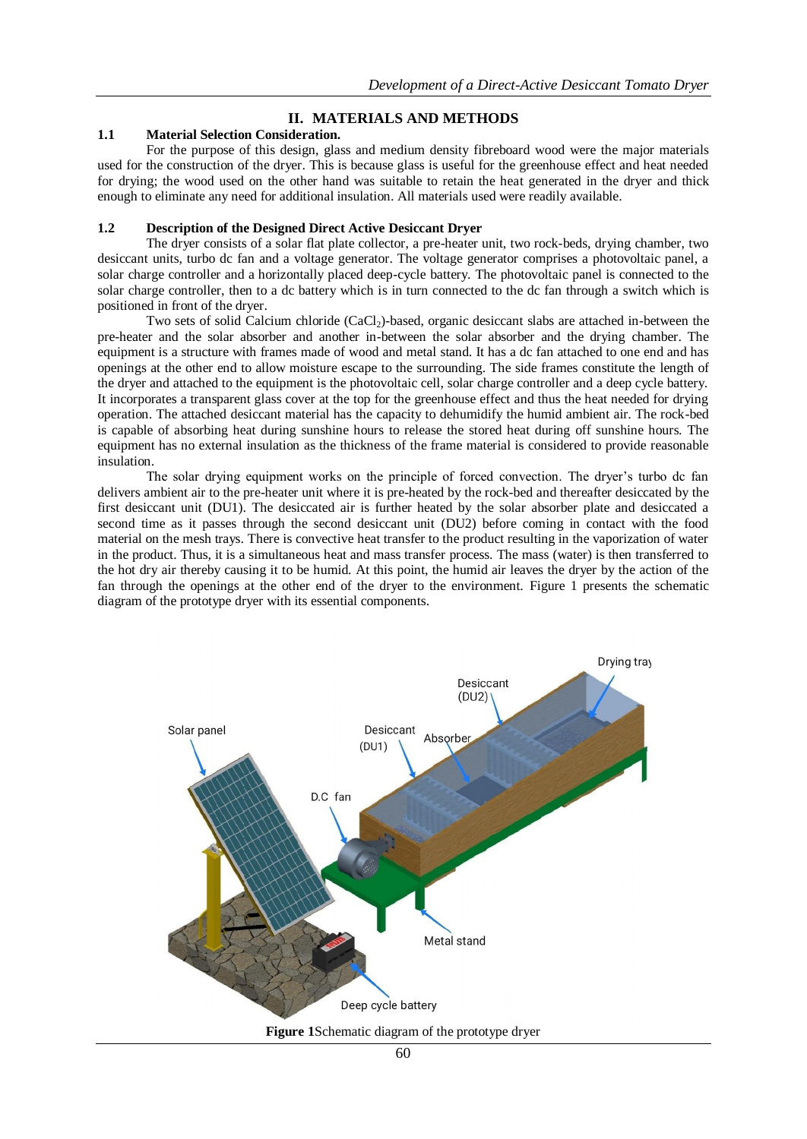## **II. MATERIALS AND METHODS**

### **1.1 Material Selection Consideration.**

For the purpose of this design, glass and medium density fibreboard wood were the major materials used for the construction of the dryer. This is because glass is useful for the greenhouse effect and heat needed for drying; the wood used on the other hand was suitable to retain the heat generated in the dryer and thick enough to eliminate any need for additional insulation. All materials used were readily available.

#### **1.2 Description of the Designed Direct Active Desiccant Dryer**

The dryer consists of a solar flat plate collector, a pre-heater unit, two rock-beds, drying chamber, two desiccant units, turbo dc fan and a voltage generator. The voltage generator comprises a photovoltaic panel, a solar charge controller and a horizontally placed deep-cycle battery. The photovoltaic panel is connected to the solar charge controller, then to a dc battery which is in turn connected to the dc fan through a switch which is positioned in front of the dryer.

Two sets of solid Calcium chloride (CaCl<sub>2</sub>)-based, organic desiccant slabs are attached in-between the pre-heater and the solar absorber and another in-between the solar absorber and the drying chamber. The equipment is a structure with frames made of wood and metal stand. It has a dc fan attached to one end and has openings at the other end to allow moisture escape to the surrounding. The side frames constitute the length of the dryer and attached to the equipment is the photovoltaic cell, solar charge controller and a deep cycle battery. It incorporates a transparent glass cover at the top for the greenhouse effect and thus the heat needed for drying operation. The attached desiccant material has the capacity to dehumidify the humid ambient air. The rock-bed is capable of absorbing heat during sunshine hours to release the stored heat during off sunshine hours. The equipment has no external insulation as the thickness of the frame material is considered to provide reasonable insulation.

The solar drying equipment works on the principle of forced convection. The dryer's turbo dc fan delivers ambient air to the pre-heater unit where it is pre-heated by the rock-bed and thereafter desiccated by the first desiccant unit (DU1). The desiccated air is further heated by the solar absorber plate and desiccated a second time as it passes through the second desiccant unit (DU2) before coming in contact with the food material on the mesh trays. There is convective heat transfer to the product resulting in the vaporization of water in the product. Thus, it is a simultaneous heat and mass transfer process. The mass (water) is then transferred to the hot dry air thereby causing it to be humid. At this point, the humid air leaves the dryer by the action of the fan through the openings at the other end of the dryer to the environment. Figure 1 presents the schematic diagram of the prototype dryer with its essential components.

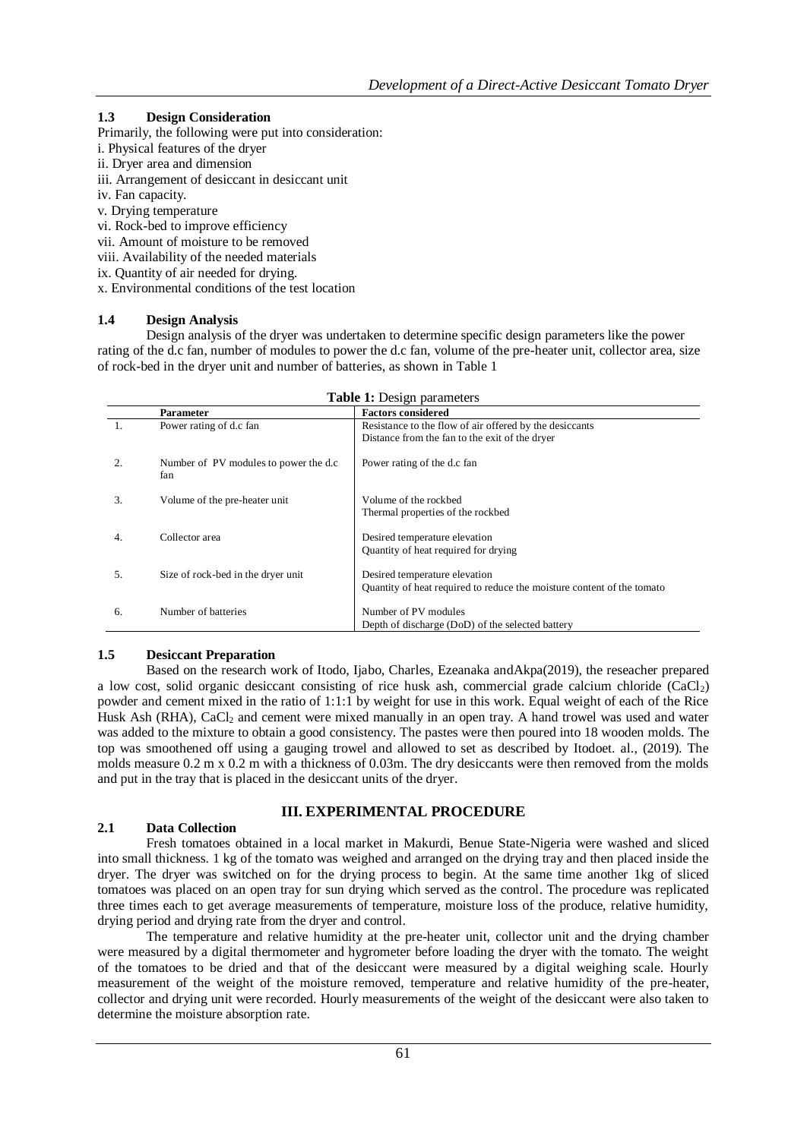## **1.3 Design Consideration**

Primarily, the following were put into consideration:

- i. Physical features of the dryer
- ii. Dryer area and dimension
- iii. Arrangement of desiccant in desiccant unit
- iv. Fan capacity.
- v. Drying temperature
- vi. Rock-bed to improve efficiency
- vii. Amount of moisture to be removed
- viii. Availability of the needed materials
- ix. Quantity of air needed for drying.
- x. Environmental conditions of the test location

### **1.4 Design Analysis**

Design analysis of the dryer was undertaken to determine specific design parameters like the power rating of the d.c fan, number of modules to power the d.c fan, volume of the pre-heater unit, collector area, size of rock-bed in the dryer unit and number of batteries, as shown in Table 1

| <b>Table 1:</b> Design parameters |                                               |                                                                                                           |
|-----------------------------------|-----------------------------------------------|-----------------------------------------------------------------------------------------------------------|
|                                   | <b>Parameter</b>                              | <b>Factors considered</b>                                                                                 |
| $\mathbf{1}$ .                    | Power rating of d.c fan                       | Resistance to the flow of air offered by the desiccants<br>Distance from the fan to the exit of the dryer |
| 2.                                | Number of PV modules to power the d.c.<br>fan | Power rating of the d.c fan                                                                               |
| 3.                                | Volume of the pre-heater unit                 | Volume of the rockbed<br>Thermal properties of the rockbed                                                |
| 4.                                | Collector area                                | Desired temperature elevation<br>Quantity of heat required for drying                                     |
| 5.                                | Size of rock-bed in the dryer unit            | Desired temperature elevation<br>Quantity of heat required to reduce the moisture content of the tomato   |
| 6.                                | Number of batteries                           | Number of PV modules<br>Depth of discharge (DoD) of the selected battery                                  |

### **1.5 Desiccant Preparation**

Based on the research work of Itodo, Ijabo, Charles, Ezeanaka andAkpa(2019), the reseacher prepared a low cost, solid organic desiccant consisting of rice husk ash, commercial grade calcium chloride  $(CaCl<sub>2</sub>)$ powder and cement mixed in the ratio of 1:1:1 by weight for use in this work. Equal weight of each of the Rice Husk Ash (RHA), CaCl<sub>2</sub> and cement were mixed manually in an open tray. A hand trowel was used and water was added to the mixture to obtain a good consistency. The pastes were then poured into 18 wooden molds. The top was smoothened off using a gauging trowel and allowed to set as described by Itodoet. al., (2019). The molds measure 0.2 m x 0.2 m with a thickness of 0.03m. The dry desiccants were then removed from the molds and put in the tray that is placed in the desiccant units of the dryer.

### **III. EXPERIMENTAL PROCEDURE**

## **2.1 Data Collection**

Fresh tomatoes obtained in a local market in Makurdi, Benue State-Nigeria were washed and sliced into small thickness. 1 kg of the tomato was weighed and arranged on the drying tray and then placed inside the dryer. The dryer was switched on for the drying process to begin. At the same time another 1kg of sliced tomatoes was placed on an open tray for sun drying which served as the control. The procedure was replicated three times each to get average measurements of temperature, moisture loss of the produce, relative humidity, drying period and drying rate from the dryer and control.

The temperature and relative humidity at the pre-heater unit, collector unit and the drying chamber were measured by a digital thermometer and hygrometer before loading the dryer with the tomato. The weight of the tomatoes to be dried and that of the desiccant were measured by a digital weighing scale. Hourly measurement of the weight of the moisture removed, temperature and relative humidity of the pre-heater, collector and drying unit were recorded. Hourly measurements of the weight of the desiccant were also taken to determine the moisture absorption rate.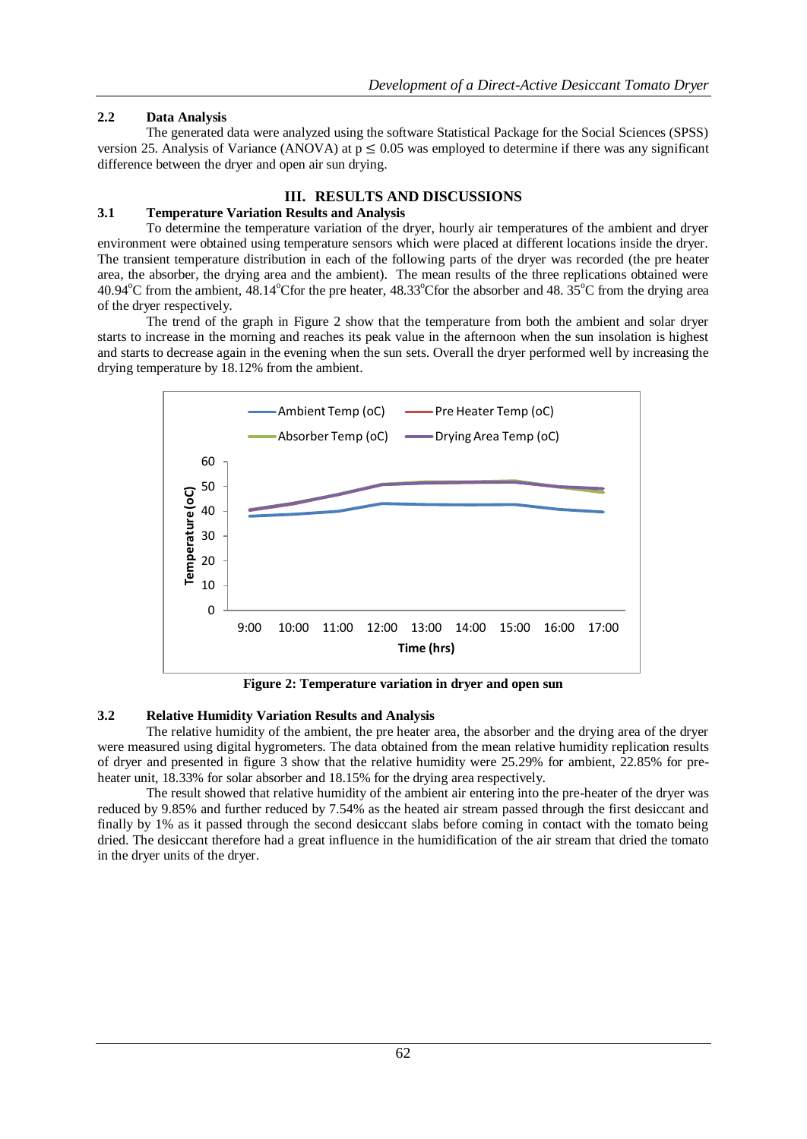## **2.2 Data Analysis**

The generated data were analyzed using the software Statistical Package for the Social Sciences (SPSS) version 25. Analysis of Variance (ANOVA) at  $p \le 0.05$  was employed to determine if there was any significant difference between the dryer and open air sun drying.

### **III. RESULTS AND DISCUSSIONS**

## **3.1 Temperature Variation Results and Analysis**

To determine the temperature variation of the dryer, hourly air temperatures of the ambient and dryer environment were obtained using temperature sensors which were placed at different locations inside the dryer. The transient temperature distribution in each of the following parts of the dryer was recorded (the pre heater area, the absorber, the drying area and the ambient). The mean results of the three replications obtained were 40.94 $^{\circ}$ C from the ambient, 48.14 $^{\circ}$ Cfor the pre heater, 48.33 $^{\circ}$ Cfor the absorber and 48.35 $^{\circ}$ C from the drying area of the dryer respectively.

The trend of the graph in Figure 2 show that the temperature from both the ambient and solar dryer starts to increase in the morning and reaches its peak value in the afternoon when the sun insolation is highest and starts to decrease again in the evening when the sun sets. Overall the dryer performed well by increasing the drying temperature by 18.12% from the ambient.



**Figure 2: Temperature variation in dryer and open sun**

### **3.2 Relative Humidity Variation Results and Analysis**

The relative humidity of the ambient, the pre heater area, the absorber and the drying area of the dryer were measured using digital hygrometers. The data obtained from the mean relative humidity replication results of dryer and presented in figure 3 show that the relative humidity were 25.29% for ambient, 22.85% for preheater unit, 18.33% for solar absorber and 18.15% for the drying area respectively.

The result showed that relative humidity of the ambient air entering into the pre-heater of the dryer was reduced by 9.85% and further reduced by 7.54% as the heated air stream passed through the first desiccant and finally by 1% as it passed through the second desiccant slabs before coming in contact with the tomato being dried. The desiccant therefore had a great influence in the humidification of the air stream that dried the tomato in the dryer units of the dryer.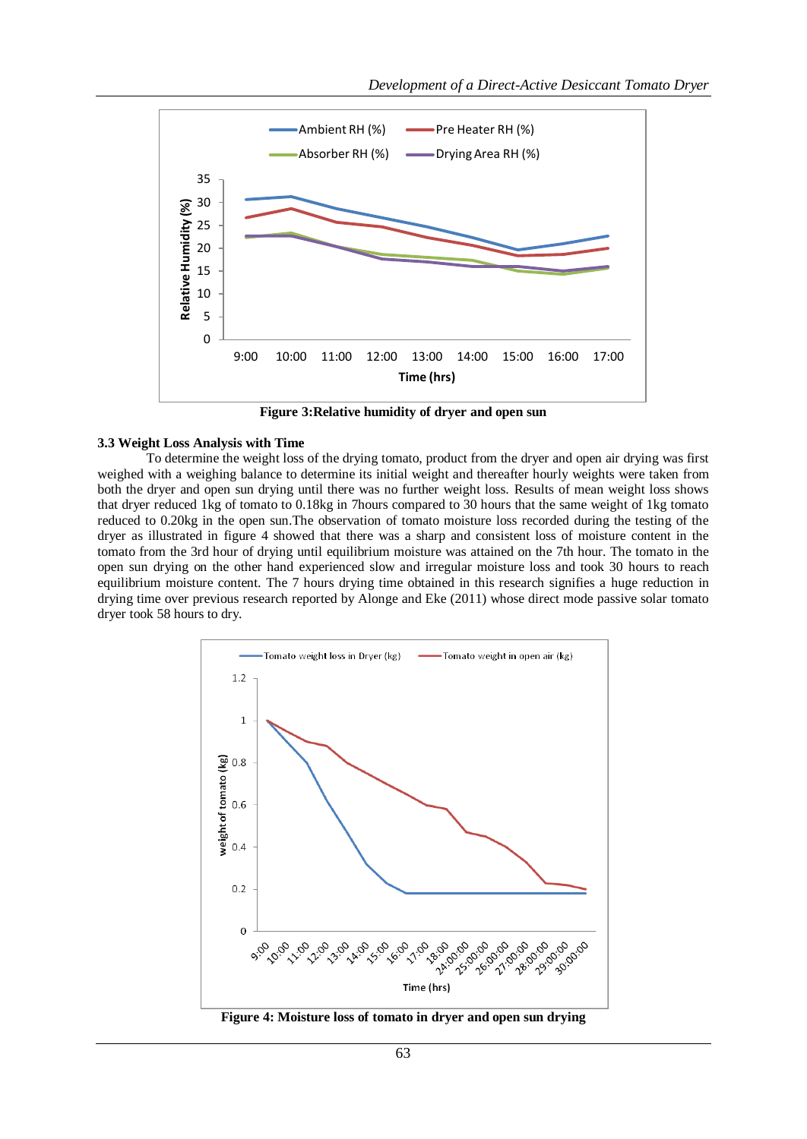

**Figure 3:Relative humidity of dryer and open sun**

#### **3.3 Weight Loss Analysis with Time**

To determine the weight loss of the drying tomato, product from the dryer and open air drying was first weighed with a weighing balance to determine its initial weight and thereafter hourly weights were taken from both the dryer and open sun drying until there was no further weight loss. Results of mean weight loss shows that dryer reduced 1kg of tomato to 0.18kg in 7hours compared to 30 hours that the same weight of 1kg tomato reduced to 0.20kg in the open sun.The observation of tomato moisture loss recorded during the testing of the dryer as illustrated in figure 4 showed that there was a sharp and consistent loss of moisture content in the tomato from the 3rd hour of drying until equilibrium moisture was attained on the 7th hour. The tomato in the open sun drying on the other hand experienced slow and irregular moisture loss and took 30 hours to reach equilibrium moisture content. The 7 hours drying time obtained in this research signifies a huge reduction in drying time over previous research reported by Alonge and Eke (2011) whose direct mode passive solar tomato dryer took 58 hours to dry.



**Figure 4: Moisture loss of tomato in dryer and open sun drying**